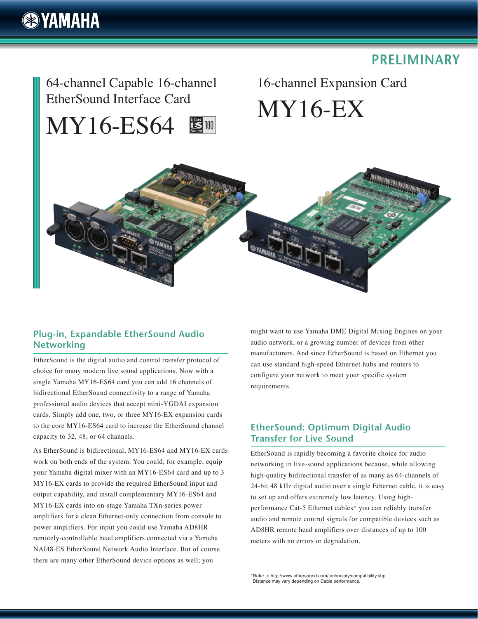# **& YAMAHA**

## **PRELIMINARY**

64-channel Capable 16-channel EtherSound Interface Card

### MY16-ES64 **ES 100**

16-channel Expansion Card MY16-EX



#### **Plug-in, Expandable EtherSound Audio Networking**

EtherSound is the digital audio and control transfer protocol of choice for many modern live sound applications. Now with a single Yamaha MY16-ES64 card you can add 16 channels of bidirectional EtherSound connectivity to a range of Yamaha professional audio devices that accept mini-YGDAI expansion cards. Simply add one, two, or three MY16-EX expansion cards to the core MY16-ES64 card to increase the EtherSound channel capacity to 32, 48, or 64 channels.

As EtherSound is bidirectional, MY16-ES64 and MY16-EX cards work on both ends of the system. You could, for example, equip your Yamaha digital mixer with an MY16-ES64 card and up to 3 MY16-EX cards to provide the required EtherSound input and output capability, and install complementary MY16-ES64 and MY16-EX cards into on-stage Yamaha TXn-series power amplifiers for a clean Ethernet-only connection from console to power amplifiers. For input you could use Yamaha AD8HR remotely-controllable head amplifiers connected via a Yamaha NAI48-ES EtherSound Network Audio Interface. But of course there are many other EtherSound device options as well; you

might want to use Yamaha DME Digital Mixing Engines on your audio network, or a growing number of devices from other manufacturers. And since EtherSound is based on Ethernet you can use standard high-speed Ethernet hubs and routers to configure your network to meet your specific system requirements.

#### **EtherSound: Optimum Digital Audio Transfer for Live Sound**

EtherSound is rapidly becoming a favorite choice for audio networking in live-sound applications because, while allowing high-quality bidirectional transfer of as many as 64-channels of 24-bit 48 kHz digital audio over a single Ethernet cable, it is easy to set up and offers extremely low latency. Using highperformance Cat-5 Ethernet cables\* you can reliably transfer audio and remote control signals for compatible devices such as AD8HR remote head amplifiers over distances of up to 100 meters with no errors or degradation.

\*Refer to http://www.ethersound.com/technoloty/compatibility.php Distance may vary depending on Cable performance.